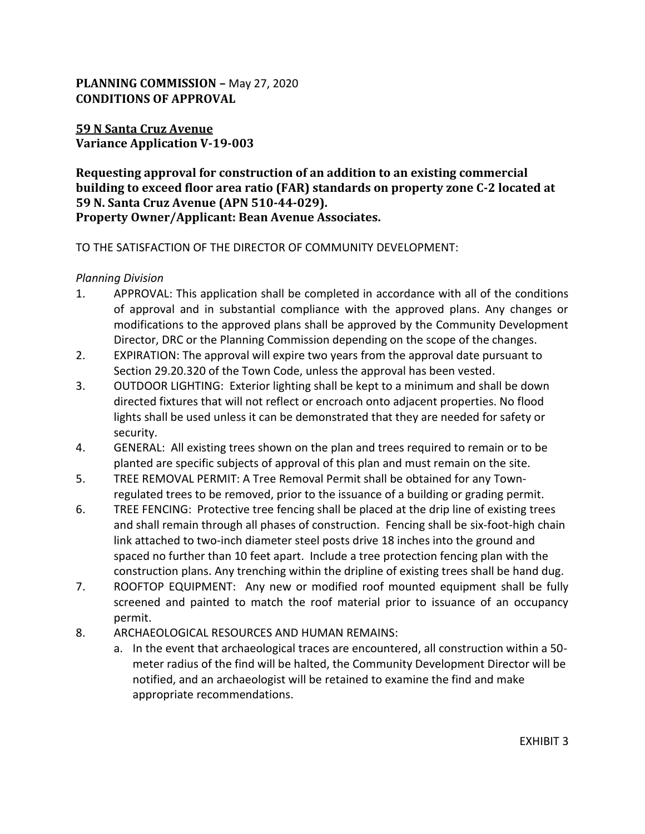# **PLANNING COMMISSION –** May 27, 2020 **CONDITIONS OF APPROVAL**

## **59 N Santa Cruz Avenue Variance Application V-19-003**

## **Requesting approval for construction of an addition to an existing commercial building to exceed floor area ratio (FAR) standards on property zone C-2 located at 59 N. Santa Cruz Avenue (APN 510-44-029). Property Owner/Applicant: Bean Avenue Associates.**

### TO THE SATISFACTION OF THE DIRECTOR OF COMMUNITY DEVELOPMENT:

### *Planning Division*

- 1. APPROVAL: This application shall be completed in accordance with all of the conditions of approval and in substantial compliance with the approved plans. Any changes or modifications to the approved plans shall be approved by the Community Development Director, DRC or the Planning Commission depending on the scope of the changes.
- 2. EXPIRATION: The approval will expire two years from the approval date pursuant to Section 29.20.320 of the Town Code, unless the approval has been vested.
- 3. OUTDOOR LIGHTING: Exterior lighting shall be kept to a minimum and shall be down directed fixtures that will not reflect or encroach onto adjacent properties. No flood lights shall be used unless it can be demonstrated that they are needed for safety or security.
- 4. GENERAL: All existing trees shown on the plan and trees required to remain or to be planted are specific subjects of approval of this plan and must remain on the site.
- 5. TREE REMOVAL PERMIT: A Tree Removal Permit shall be obtained for any Townregulated trees to be removed, prior to the issuance of a building or grading permit.
- 6. TREE FENCING: Protective tree fencing shall be placed at the drip line of existing trees and shall remain through all phases of construction. Fencing shall be six-foot-high chain link attached to two-inch diameter steel posts drive 18 inches into the ground and spaced no further than 10 feet apart. Include a tree protection fencing plan with the construction plans. Any trenching within the dripline of existing trees shall be hand dug.
- 7. ROOFTOP EQUIPMENT: Any new or modified roof mounted equipment shall be fully screened and painted to match the roof material prior to issuance of an occupancy permit.
- 8. ARCHAEOLOGICAL RESOURCES AND HUMAN REMAINS:
	- a. In the event that archaeological traces are encountered, all construction within a 50 meter radius of the find will be halted, the Community Development Director will be notified, and an archaeologist will be retained to examine the find and make appropriate recommendations.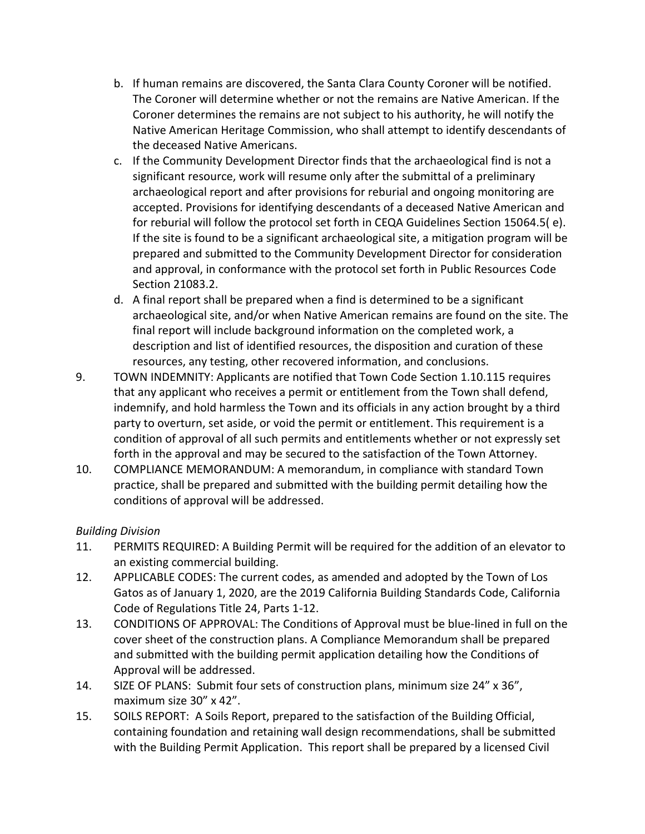- b. If human remains are discovered, the Santa Clara County Coroner will be notified. The Coroner will determine whether or not the remains are Native American. If the Coroner determines the remains are not subject to his authority, he will notify the Native American Heritage Commission, who shall attempt to identify descendants of the deceased Native Americans.
- c. If the Community Development Director finds that the archaeological find is not a significant resource, work will resume only after the submittal of a preliminary archaeological report and after provisions for reburial and ongoing monitoring are accepted. Provisions for identifying descendants of a deceased Native American and for reburial will follow the protocol set forth in CEQA Guidelines Section 15064.5( e). If the site is found to be a significant archaeological site, a mitigation program will be prepared and submitted to the Community Development Director for consideration and approval, in conformance with the protocol set forth in Public Resources Code Section 21083.2.
- d. A final report shall be prepared when a find is determined to be a significant archaeological site, and/or when Native American remains are found on the site. The final report will include background information on the completed work, a description and list of identified resources, the disposition and curation of these resources, any testing, other recovered information, and conclusions.
- 9. TOWN INDEMNITY: Applicants are notified that Town Code Section 1.10.115 requires that any applicant who receives a permit or entitlement from the Town shall defend, indemnify, and hold harmless the Town and its officials in any action brought by a third party to overturn, set aside, or void the permit or entitlement. This requirement is a condition of approval of all such permits and entitlements whether or not expressly set forth in the approval and may be secured to the satisfaction of the Town Attorney.
- 10. COMPLIANCE MEMORANDUM: A memorandum, in compliance with standard Town practice, shall be prepared and submitted with the building permit detailing how the conditions of approval will be addressed.

# *Building Division*

- 11. PERMITS REQUIRED: A Building Permit will be required for the addition of an elevator to an existing commercial building.
- 12. APPLICABLE CODES: The current codes, as amended and adopted by the Town of Los Gatos as of January 1, 2020, are the 2019 California Building Standards Code, California Code of Regulations Title 24, Parts 1-12.
- 13. CONDITIONS OF APPROVAL: The Conditions of Approval must be blue-lined in full on the cover sheet of the construction plans. A Compliance Memorandum shall be prepared and submitted with the building permit application detailing how the Conditions of Approval will be addressed.
- 14. SIZE OF PLANS: Submit four sets of construction plans, minimum size 24" x 36", maximum size 30" x 42".
- 15. SOILS REPORT: A Soils Report, prepared to the satisfaction of the Building Official, containing foundation and retaining wall design recommendations, shall be submitted with the Building Permit Application. This report shall be prepared by a licensed Civil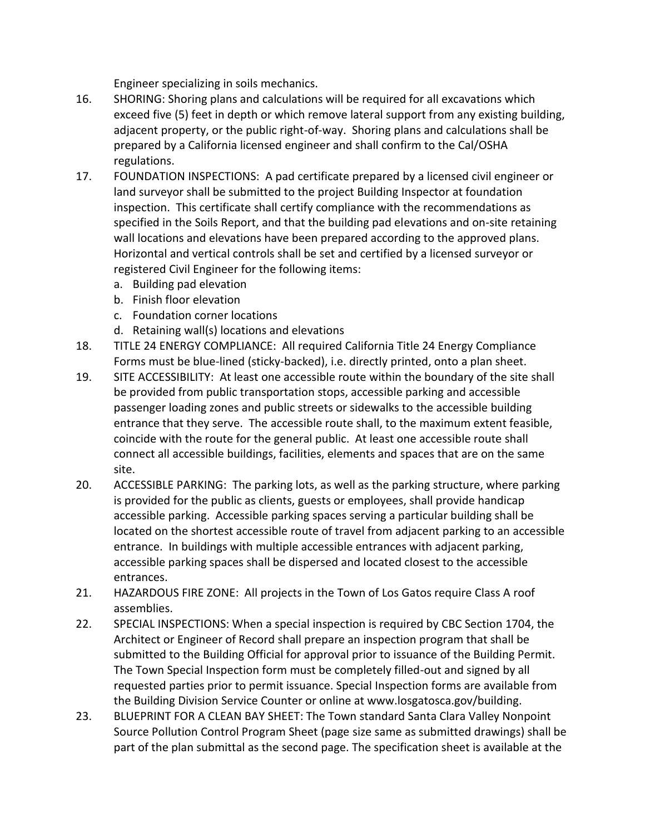Engineer specializing in soils mechanics.

- 16. SHORING: Shoring plans and calculations will be required for all excavations which exceed five (5) feet in depth or which remove lateral support from any existing building, adjacent property, or the public right-of-way. Shoring plans and calculations shall be prepared by a California licensed engineer and shall confirm to the Cal/OSHA regulations.
- 17. FOUNDATION INSPECTIONS: A pad certificate prepared by a licensed civil engineer or land surveyor shall be submitted to the project Building Inspector at foundation inspection. This certificate shall certify compliance with the recommendations as specified in the Soils Report, and that the building pad elevations and on-site retaining wall locations and elevations have been prepared according to the approved plans. Horizontal and vertical controls shall be set and certified by a licensed surveyor or registered Civil Engineer for the following items:
	- a. Building pad elevation
	- b. Finish floor elevation
	- c. Foundation corner locations
	- d. Retaining wall(s) locations and elevations
- 18. TITLE 24 ENERGY COMPLIANCE: All required California Title 24 Energy Compliance Forms must be blue-lined (sticky-backed), i.e. directly printed, onto a plan sheet.
- 19. SITE ACCESSIBILITY: At least one accessible route within the boundary of the site shall be provided from public transportation stops, accessible parking and accessible passenger loading zones and public streets or sidewalks to the accessible building entrance that they serve. The accessible route shall, to the maximum extent feasible, coincide with the route for the general public. At least one accessible route shall connect all accessible buildings, facilities, elements and spaces that are on the same site.
- 20. ACCESSIBLE PARKING: The parking lots, as well as the parking structure, where parking is provided for the public as clients, guests or employees, shall provide handicap accessible parking. Accessible parking spaces serving a particular building shall be located on the shortest accessible route of travel from adjacent parking to an accessible entrance. In buildings with multiple accessible entrances with adjacent parking, accessible parking spaces shall be dispersed and located closest to the accessible entrances.
- 21. HAZARDOUS FIRE ZONE: All projects in the Town of Los Gatos require Class A roof assemblies.
- 22. SPECIAL INSPECTIONS: When a special inspection is required by CBC Section 1704, the Architect or Engineer of Record shall prepare an inspection program that shall be submitted to the Building Official for approval prior to issuance of the Building Permit. The Town Special Inspection form must be completely filled-out and signed by all requested parties prior to permit issuance. Special Inspection forms are available from the Building Division Service Counter or online at www.losgatosca.gov/building.
- 23. BLUEPRINT FOR A CLEAN BAY SHEET: The Town standard Santa Clara Valley Nonpoint Source Pollution Control Program Sheet (page size same as submitted drawings) shall be part of the plan submittal as the second page. The specification sheet is available at the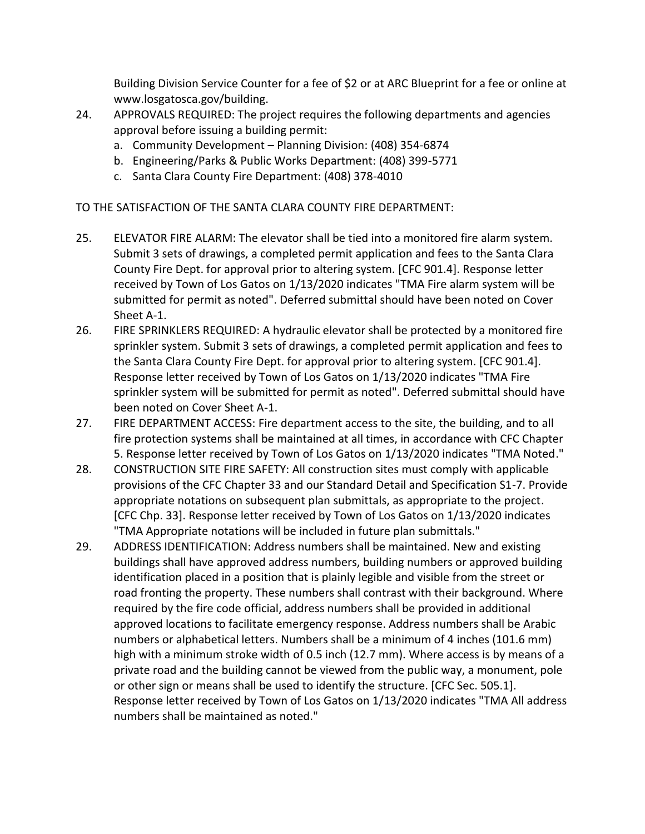Building Division Service Counter for a fee of \$2 or at ARC Blueprint for a fee or online at www.losgatosca.gov/building.

- 24. APPROVALS REQUIRED: The project requires the following departments and agencies approval before issuing a building permit:
	- a. Community Development Planning Division: (408) 354-6874
	- b. Engineering/Parks & Public Works Department: (408) 399-5771
	- c. Santa Clara County Fire Department: (408) 378-4010

TO THE SATISFACTION OF THE SANTA CLARA COUNTY FIRE DEPARTMENT:

- 25. ELEVATOR FIRE ALARM: The elevator shall be tied into a monitored fire alarm system. Submit 3 sets of drawings, a completed permit application and fees to the Santa Clara County Fire Dept. for approval prior to altering system. [CFC 901.4]. Response letter received by Town of Los Gatos on 1/13/2020 indicates "TMA Fire alarm system will be submitted for permit as noted". Deferred submittal should have been noted on Cover Sheet A-1.
- 26. FIRE SPRINKLERS REQUIRED: A hydraulic elevator shall be protected by a monitored fire sprinkler system. Submit 3 sets of drawings, a completed permit application and fees to the Santa Clara County Fire Dept. for approval prior to altering system. [CFC 901.4]. Response letter received by Town of Los Gatos on 1/13/2020 indicates "TMA Fire sprinkler system will be submitted for permit as noted". Deferred submittal should have been noted on Cover Sheet A-1.
- 27. FIRE DEPARTMENT ACCESS: Fire department access to the site, the building, and to all fire protection systems shall be maintained at all times, in accordance with CFC Chapter 5. Response letter received by Town of Los Gatos on 1/13/2020 indicates "TMA Noted."
- 28. CONSTRUCTION SITE FIRE SAFETY: All construction sites must comply with applicable provisions of the CFC Chapter 33 and our Standard Detail and Specification S1-7. Provide appropriate notations on subsequent plan submittals, as appropriate to the project. [CFC Chp. 33]. Response letter received by Town of Los Gatos on 1/13/2020 indicates "TMA Appropriate notations will be included in future plan submittals."
- 29. ADDRESS IDENTIFICATION: Address numbers shall be maintained. New and existing buildings shall have approved address numbers, building numbers or approved building identification placed in a position that is plainly legible and visible from the street or road fronting the property. These numbers shall contrast with their background. Where required by the fire code official, address numbers shall be provided in additional approved locations to facilitate emergency response. Address numbers shall be Arabic numbers or alphabetical letters. Numbers shall be a minimum of 4 inches (101.6 mm) high with a minimum stroke width of 0.5 inch (12.7 mm). Where access is by means of a private road and the building cannot be viewed from the public way, a monument, pole or other sign or means shall be used to identify the structure. [CFC Sec. 505.1]. Response letter received by Town of Los Gatos on 1/13/2020 indicates "TMA All address numbers shall be maintained as noted."